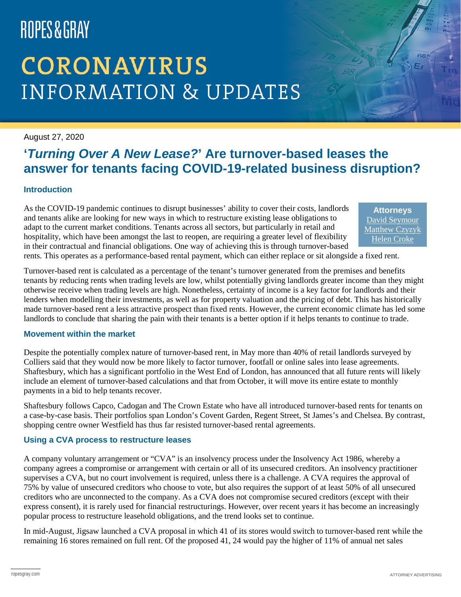# ROPES&GRAY

# **CORONAVIRUS INFORMATION & UPDATES**

#### August 27, 2020

### **'***Turning Over A New Lease?***' Are turnover-based leases the answer for tenants facing COVID-19-related business disruption?**

### **Introduction**

As the COVID-19 pandemic continues to disrupt businesses' ability to cover their costs, landlords and tenants alike are looking for new ways in which to restructure existing lease obligations to adapt to the current market conditions. Tenants across all sectors, but particularly in retail and hospitality, which have been amongst the last to reopen, are requiring a greater level of flexibility in their contractual and financial obligations. One way of achieving this is through turnover-based

**Attorneys** [David Seymour](https://www.ropesgray.com/en/biographies/s/david-seymour) [Matthew Czyzyk](https://www.ropesgray.com/en/biographies/c/matthew-czyzyk)  [Helen Croke](https://www.ropesgray.com/en/biographies/c/helen-croke)

rents. This operates as a performance-based rental payment, which can either replace or sit alongside a fixed rent.

Turnover-based rent is calculated as a percentage of the tenant's turnover generated from the premises and benefits tenants by reducing rents when trading levels are low, whilst potentially giving landlords greater income than they might otherwise receive when trading levels are high. Nonetheless, certainty of income is a key factor for landlords and their lenders when modelling their investments, as well as for property valuation and the pricing of debt. This has historically made turnover-based rent a less attractive prospect than fixed rents. However, the current economic climate has led some landlords to conclude that sharing the pain with their tenants is a better option if it helps tenants to continue to trade.

#### **Movement within the market**

Despite the potentially complex nature of turnover-based rent, in May more than 40% of retail landlords surveyed by Colliers said that they would now be more likely to factor turnover, footfall or online sales into lease agreements. Shaftesbury, which has a significant portfolio in the West End of London, has announced that all future rents will likely include an element of turnover-based calculations and that from October, it will move its entire estate to monthly payments in a bid to help tenants recover.

Shaftesbury follows Capco, Cadogan and The Crown Estate who have all introduced turnover-based rents for tenants on a case-by-case basis. Their portfolios span London's Covent Garden, Regent Street, St James's and Chelsea. By contrast, shopping centre owner Westfield has thus far resisted turnover-based rental agreements.

#### **Using a CVA process to restructure leases**

A company voluntary arrangement or "CVA" is an insolvency process under the Insolvency Act 1986, whereby a company agrees a compromise or arrangement with certain or all of its unsecured creditors. An insolvency practitioner supervises a CVA, but no court involvement is required, unless there is a challenge. A CVA requires the approval of 75% by value of unsecured creditors who choose to vote, but also requires the support of at least 50% of all unsecured creditors who are unconnected to the company. As a CVA does not compromise secured creditors (except with their express consent), it is rarely used for financial restructurings. However, over recent years it has become an increasingly popular process to restructure leasehold obligations, and the trend looks set to continue.

In mid-August, Jigsaw launched a CVA proposal in which 41 of its stores would switch to turnover-based rent while the remaining 16 stores remained on full rent. Of the proposed 41, 24 would pay the higher of 11% of annual net sales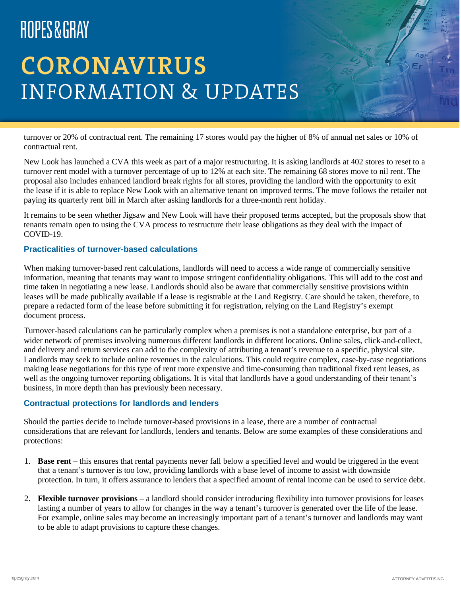# ROPES&GRAY

# **CORONAVIRUS INFORMATION & UPDATES**

turnover or 20% of contractual rent. The remaining 17 stores would pay the higher of 8% of annual net sales or 10% of contractual rent.

New Look has launched a CVA this week as part of a major restructuring. It is asking landlords at 402 stores to reset to a turnover rent model with a turnover percentage of up to 12% at each site. The remaining 68 stores move to nil rent. The proposal also includes enhanced landlord break rights for all stores, providing the landlord with the opportunity to exit the lease if it is able to replace New Look with an alternative tenant on improved terms. The move follows the retailer not paying its quarterly rent bill in March after asking landlords for a three-month rent holiday.

It remains to be seen whether Jigsaw and New Look will have their proposed terms accepted, but the proposals show that tenants remain open to using the CVA process to restructure their lease obligations as they deal with the impact of COVID-19.

### **Practicalities of turnover-based calculations**

When making turnover-based rent calculations, landlords will need to access a wide range of commercially sensitive information, meaning that tenants may want to impose stringent confidentiality obligations. This will add to the cost and time taken in negotiating a new lease. Landlords should also be aware that commercially sensitive provisions within leases will be made publically available if a lease is registrable at the Land Registry. Care should be taken, therefore, to prepare a redacted form of the lease before submitting it for registration, relying on the Land Registry's exempt document process.

Turnover-based calculations can be particularly complex when a premises is not a standalone enterprise, but part of a wider network of premises involving numerous different landlords in different locations. Online sales, click-and-collect, and delivery and return services can add to the complexity of attributing a tenant's revenue to a specific, physical site. Landlords may seek to include online revenues in the calculations. This could require complex, case-by-case negotiations making lease negotiations for this type of rent more expensive and time-consuming than traditional fixed rent leases, as well as the ongoing turnover reporting obligations. It is vital that landlords have a good understanding of their tenant's business, in more depth than has previously been necessary.

#### **Contractual protections for landlords and lenders**

Should the parties decide to include turnover-based provisions in a lease, there are a number of contractual considerations that are relevant for landlords, lenders and tenants. Below are some examples of these considerations and protections:

- 1. **Base rent** this ensures that rental payments never fall below a specified level and would be triggered in the event that a tenant's turnover is too low, providing landlords with a base level of income to assist with downside protection. In turn, it offers assurance to lenders that a specified amount of rental income can be used to service debt.
- 2. **Flexible turnover provisions** a landlord should consider introducing flexibility into turnover provisions for leases lasting a number of years to allow for changes in the way a tenant's turnover is generated over the life of the lease. For example, online sales may become an increasingly important part of a tenant's turnover and landlords may want to be able to adapt provisions to capture these changes.